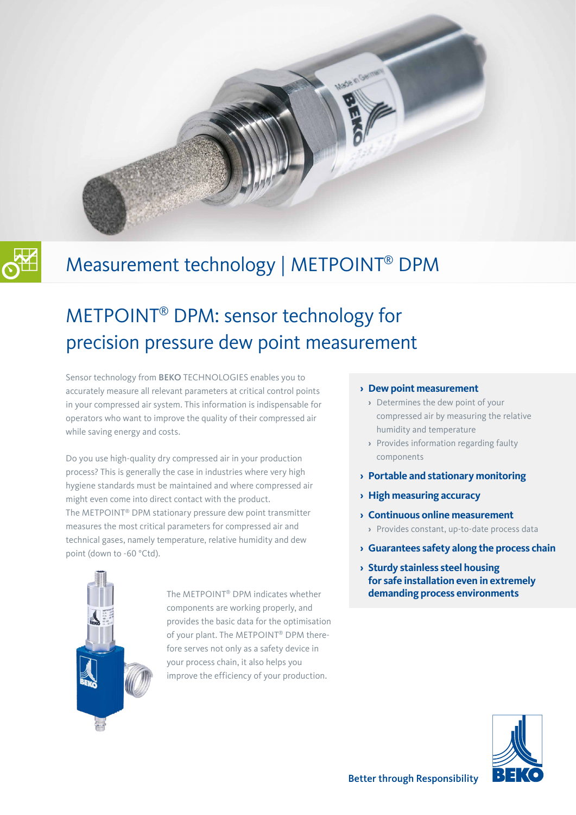

# METPOINT® DPM: sensor technology for precision pressure dew point measurement

Sensor technology from BEKO TECHNOLOGIES enables you to accurately measure all relevant parameters at critical control points in your compressed air system. This information is indispensable for operators who want to improve the quality of their compressed air while saving energy and costs.

Do you use high-quality dry compressed air in your production process? This is generally the case in industries where very high hygiene standards must be maintained and where compressed air might even come into direct contact with the product. The METPOINT® DPM stationary pressure dew point transmitter measures the most critical parameters for compressed air and technical gases, namely temperature, relative humidity and dew point (down to -60 °Ctd).



The METPOINT® DPM indicates whether components are working properly, and provides the basic data for the optimisation of your plant. The METPOINT® DPM therefore serves not only as a safety device in your process chain, it also helps you improve the efficiency of your production.

#### **› Dew point measurement**

ade in German

- **›** Determines the dew point of your compressed air by measuring the relative humidity and temperature
- **›** Provides information regarding faulty components
- **› Portable and stationary monitoring**
- **› High measuring accuracy**
- **› Continuous online measurement**
	- **›** Provides constant, up-to-date process data
- **› Guarantees safety along the process chain**
- **› Sturdy stainless steel housing for safe installation even in extremely demanding process environments**

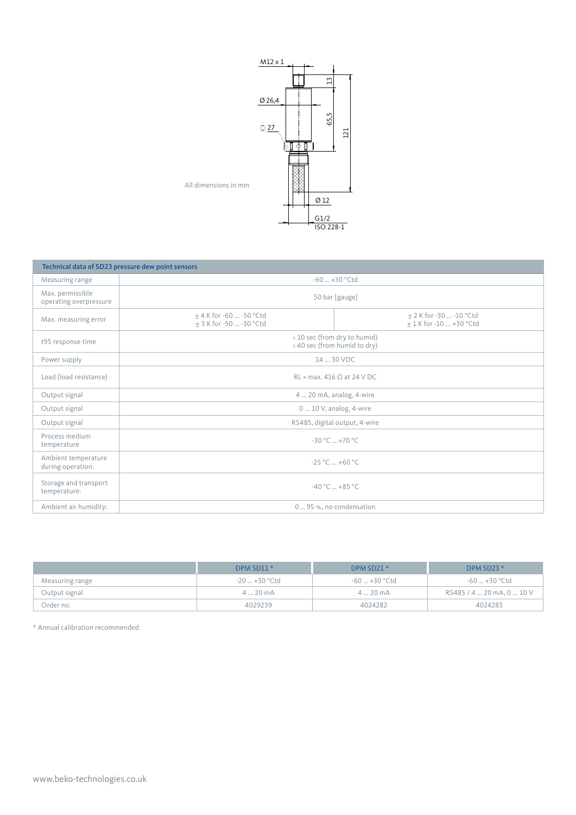

| Technical data of SD23 pressure dew point sensors |                                                              |                                                    |  |  |
|---------------------------------------------------|--------------------------------------------------------------|----------------------------------------------------|--|--|
| Measuring range                                   | $-60 - +30$ °Ctd                                             |                                                    |  |  |
| Max. permissible<br>operating overpressure        | 50 bar [gauge]                                               |                                                    |  |  |
| Max. measuring error                              | $±$ 4 K for -60  -50 °Ctd<br>+ 3 K for -50  -30 °Ctd         | ± 2 K for -30  -10 °Ctd<br>+ 1 K for -10  +30 °Ctd |  |  |
| t95 response time                                 | < 10 sec (from dry to humid)<br>< 40 sec (from humid to dry) |                                                    |  |  |
| Power supply                                      | 14  30 VDC                                                   |                                                    |  |  |
| Load (load resistance)                            | $RL = max. 416 \Omega at 24 V DC$                            |                                                    |  |  |
| Output signal                                     | 4  20 mA, analog, 4-wire                                     |                                                    |  |  |
| Output signal                                     | $010$ V, analog, 4-wire                                      |                                                    |  |  |
| Output signal                                     | RS485, digital output, 4-wire                                |                                                    |  |  |
| Process medium<br>temperature                     | $-30 °C_{\dots} + 70 °C$                                     |                                                    |  |  |
| Ambient temperature<br>during operation:          | $-25 °C  +60 °C$                                             |                                                    |  |  |
| Storage and transport<br>temperature:             | $-40 °C = +85 °C$                                            |                                                    |  |  |
| Ambient air humidity:                             | 0  95 %, no condensation                                     |                                                    |  |  |

|                 | DPM SD11 *       | DPM SD21 *    | DPM SD23 *                |
|-----------------|------------------|---------------|---------------------------|
| Measuring range | -20  +30 °Ctd    | -60  +30 °Ctd | -60  +30 °Ctd             |
| Output signal   | $420 \text{ mA}$ | 420mA         | RS485 / 4  20 mA, 0  10 V |
| Order no.       | 4029239          | 4024282       | 4024283                   |

\* Annual calibration recommended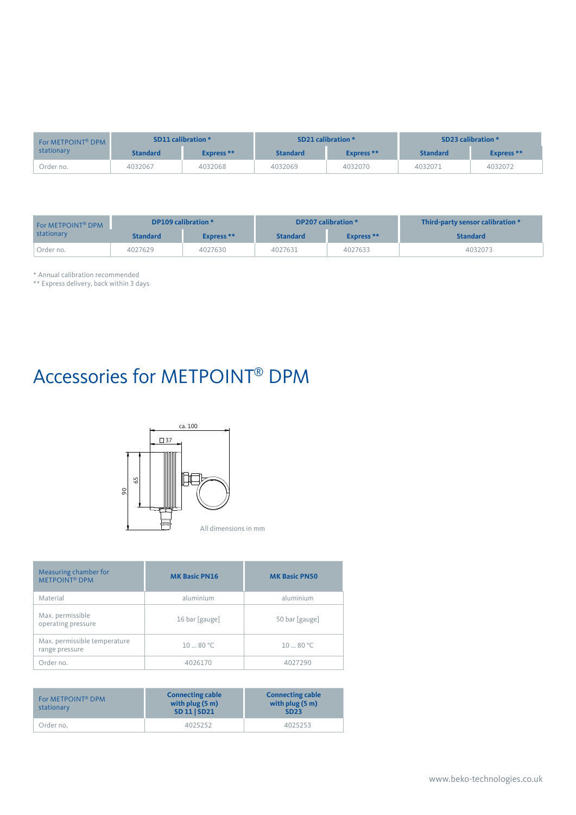| For METPOINT <sup>®</sup> DPM | SD11 calibration * |            | SD21 calibration * |            | SD23 calibration * |            |
|-------------------------------|--------------------|------------|--------------------|------------|--------------------|------------|
| stationary                    | <b>Standard</b>    | Express ** | <b>Standard</b>    | Express ** | <b>Standard</b>    | Express ** |
| Order no.                     | 4032067            | 4032068    | 4032069            | 4032070    | 4032071            | 4032072    |

| For METPOINT <sup>®</sup> DPM | DP109 calibration * |            | DP207 calibration * |            | Third-party sensor calibration * |  |
|-------------------------------|---------------------|------------|---------------------|------------|----------------------------------|--|
| stationary                    | <b>Standard</b>     | Express ** | <b>Standard</b>     | Express ** | <b>Standard</b>                  |  |
| Order no.                     | 4027629             | 4027630    | 4027631             | 4027633    | 4032073                          |  |

\* Annual calibration recommended

\*\* Express delivery, back within 3 days

# Accessories for METPOINT® DPM



| Measuring chamber for<br><b>METPOINT® DPM</b>  | <b>MK Basic PN16</b> | <b>MK Basic PN50</b> |
|------------------------------------------------|----------------------|----------------------|
| Material                                       | aluminium            | aluminium            |
| Max. permissible<br>operating pressure         | 16 bar [gauge]       | 50 bar [gauge]       |
| Max. permissible temperature<br>range pressure | $10 - 80 °C$         | 1080 °C              |
| Order no.                                      | 4026170              | 4027290              |

| For METPOINT <sup>®</sup> DPM<br>stationary | <b>Connecting cable</b><br>with plug $(5 m)$<br><b>SD 11   SD21</b> | <b>Connecting cable</b><br>with plug $(5 m)$<br><b>SD23</b> |
|---------------------------------------------|---------------------------------------------------------------------|-------------------------------------------------------------|
| Order no.                                   | 4025252                                                             | 4025253                                                     |